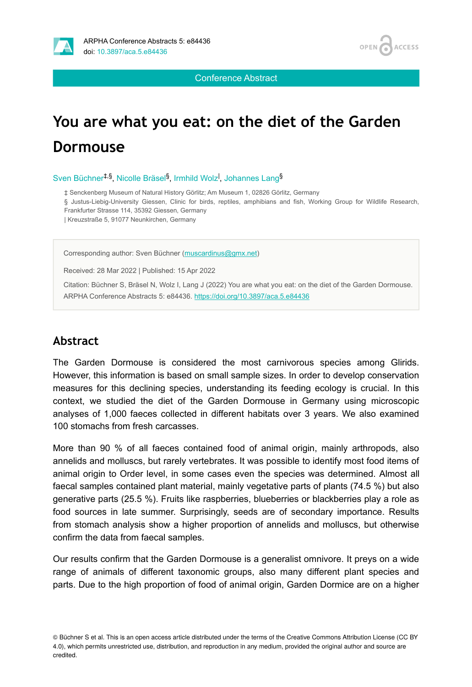

Conference Abstract

# **You are what you eat: on the diet of the Garden Dormouse**

Sven Büchner<sup>‡,§</sup>, Nicolle Bräsel<sup>§</sup>, Irmhild Wolz<sup>I</sup>, Johannes Lang<sup>§</sup>

‡ Senckenberg Museum of Natural History Görlitz; Am Museum 1, 02826 Görlitz, Germany

§ Justus-Liebig-University Giessen, Clinic for birds, reptiles, amphibians and fish, Working Group for Wildlife Research, Frankfurter Strasse 114, 35392 Giessen, Germany

| Kreuzstraße 5, 91077 Neunkirchen, Germany

Corresponding author: Sven Büchner ([muscardinus@gmx.net](mailto:muscardinus@gmx.net))

Received: 28 Mar 2022 | Published: 15 Apr 2022

Citation: Büchner S, Bräsel N, Wolz I, Lang J (2022) You are what you eat: on the diet of the Garden Dormouse. ARPHA Conference Abstracts 5: e84436. <https://doi.org/10.3897/aca.5.e84436>

#### **Abstract**

The Garden Dormouse is considered the most carnivorous species among Glirids. However, this information is based on small sample sizes. In order to develop conservation measures for this declining species, understanding its feeding ecology is crucial. In this context, we studied the diet of the Garden Dormouse in Germany using microscopic analyses of 1,000 faeces collected in different habitats over 3 years. We also examined 100 stomachs from fresh carcasses.

More than 90 % of all faeces contained food of animal origin, mainly arthropods, also annelids and molluscs, but rarely vertebrates. It was possible to identify most food items of animal origin to Order level, in some cases even the species was determined. Almost all faecal samples contained plant material, mainly vegetative parts of plants (74.5 %) but also generative parts (25.5 %). Fruits like raspberries, blueberries or blackberries play a role as food sources in late summer. Surprisingly, seeds are of secondary importance. Results from stomach analysis show a higher proportion of annelids and molluscs, but otherwise confirm the data from faecal samples.

Our results confirm that the Garden Dormouse is a generalist omnivore. It preys on a wide range of animals of different taxonomic groups, also many different plant species and parts. Due to the high proportion of food of animal origin, Garden Dormice are on a higher

© Büchner S et al. This is an open access article distributed under the terms of the Creative Commons Attribution License (CC BY 4.0), which permits unrestricted use, distribution, and reproduction in any medium, provided the original author and source are credited.